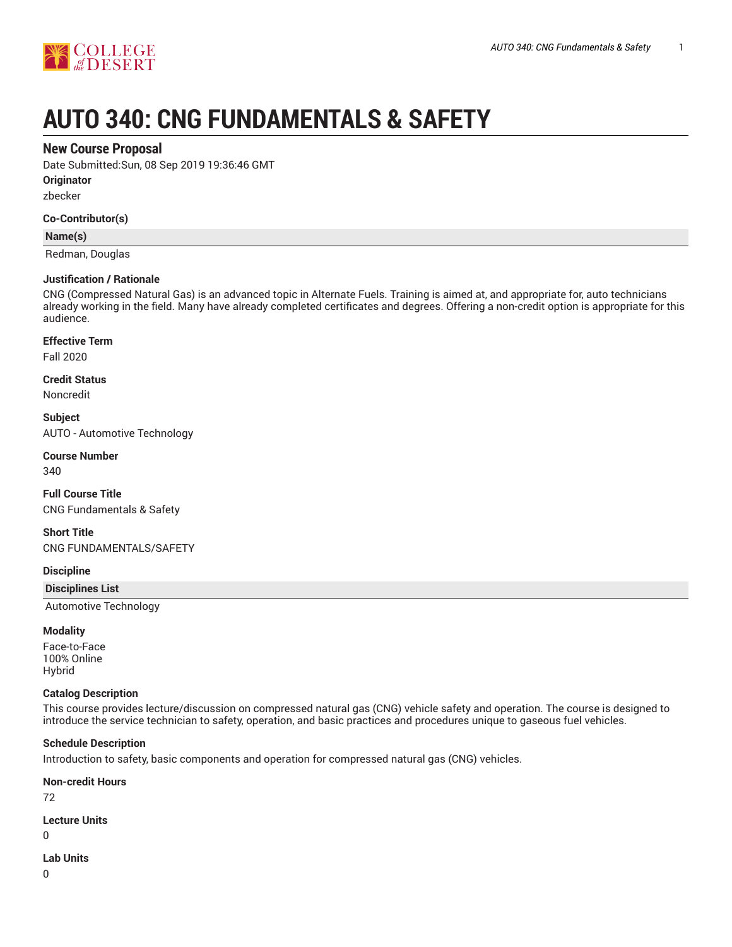

# **AUTO 340: CNG FUNDAMENTALS & SAFETY**

# **New Course Proposal**

Date Submitted:Sun, 08 Sep 2019 19:36:46 GMT

**Originator**

zbecker

#### **Co-Contributor(s)**

**Name(s)**

Redman, Douglas

#### **Justification / Rationale**

CNG (Compressed Natural Gas) is an advanced topic in Alternate Fuels. Training is aimed at, and appropriate for, auto technicians already working in the field. Many have already completed certificates and degrees. Offering a non-credit option is appropriate for this audience.

**Effective Term**

Fall 2020

**Credit Status**

Noncredit

**Subject** AUTO - Automotive Technology

**Course Number**

340

**Full Course Title** CNG Fundamentals & Safety

**Short Title** CNG FUNDAMENTALS/SAFETY

**Discipline**

**Disciplines List**

Automotive Technology

#### **Modality**

Face-to-Face 100% Online Hybrid

#### **Catalog Description**

This course provides lecture/discussion on compressed natural gas (CNG) vehicle safety and operation. The course is designed to introduce the service technician to safety, operation, and basic practices and procedures unique to gaseous fuel vehicles.

#### **Schedule Description**

Introduction to safety, basic components and operation for compressed natural gas (CNG) vehicles.

**Non-credit Hours**

72

**Lecture Units**

0

**Lab Units**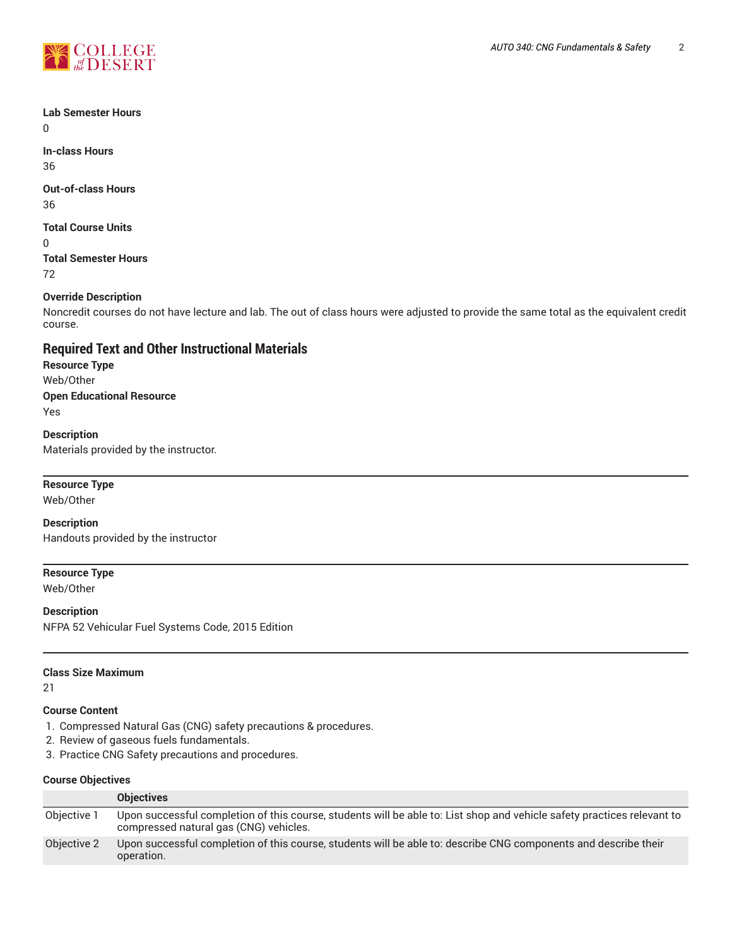

# **Lab Semester Hours**

 $\Omega$ 

**In-class Hours** 36

# **Out-of-class Hours**

36

# **Total Course Units**

0

**Total Semester Hours** 72

### **Override Description**

Noncredit courses do not have lecture and lab. The out of class hours were adjusted to provide the same total as the equivalent credit course.

# **Required Text and Other Instructional Materials**

**Resource Type** Web/Other **Open Educational Resource** Yes

**Description** Materials provided by the instructor.

#### **Resource Type**

Web/Other

**Description** Handouts provided by the instructor

# **Resource Type**

Web/Other

#### **Description**

NFPA 52 Vehicular Fuel Systems Code, 2015 Edition

#### **Class Size Maximum**

21

#### **Course Content**

- 1. Compressed Natural Gas (CNG) safety precautions & procedures.
- 2. Review of gaseous fuels fundamentals.
- 3. Practice CNG Safety precautions and procedures.

#### **Course Objectives**

|             | <b>Objectives</b>                                                                                                                                                 |
|-------------|-------------------------------------------------------------------------------------------------------------------------------------------------------------------|
| Objective 1 | Upon successful completion of this course, students will be able to: List shop and vehicle safety practices relevant to<br>compressed natural gas (CNG) vehicles. |
| Objective 2 | Upon successful completion of this course, students will be able to: describe CNG components and describe their<br>operation.                                     |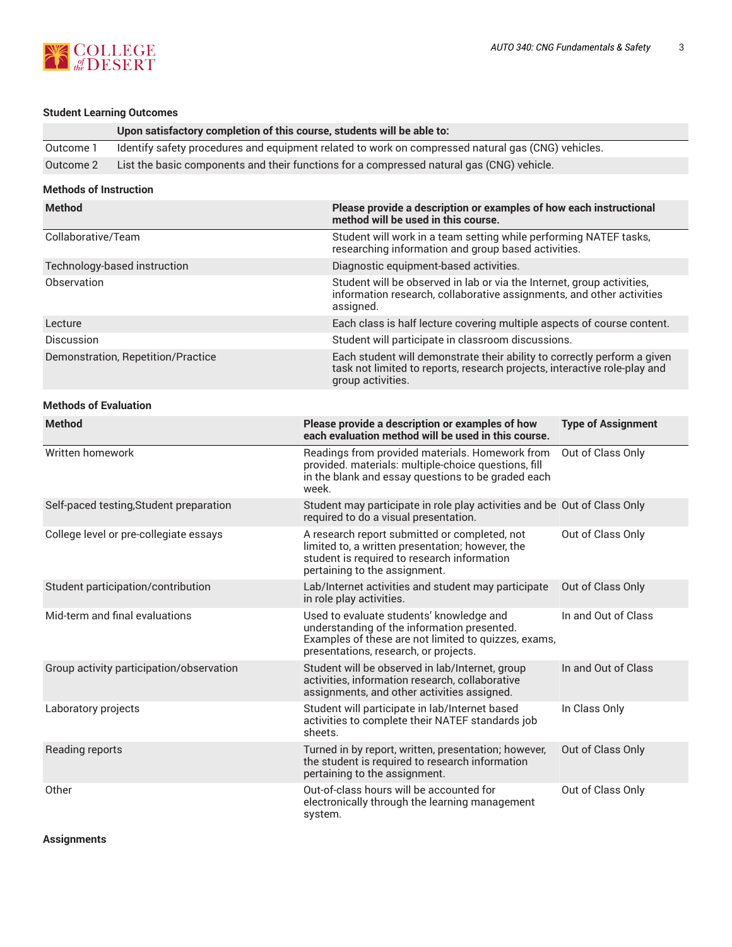

# **Student Learning Outcomes**

|                               | Upon satisfactory completion of this course, students will be able to:                             |                                                                                                                                                                                          |                           |  |
|-------------------------------|----------------------------------------------------------------------------------------------------|------------------------------------------------------------------------------------------------------------------------------------------------------------------------------------------|---------------------------|--|
| Outcome 1                     | Identify safety procedures and equipment related to work on compressed natural gas (CNG) vehicles. |                                                                                                                                                                                          |                           |  |
| Outcome 2                     | List the basic components and their functions for a compressed natural gas (CNG) vehicle.          |                                                                                                                                                                                          |                           |  |
| <b>Methods of Instruction</b> |                                                                                                    |                                                                                                                                                                                          |                           |  |
| <b>Method</b>                 |                                                                                                    | Please provide a description or examples of how each instructional<br>method will be used in this course.                                                                                |                           |  |
| Collaborative/Team            |                                                                                                    | Student will work in a team setting while performing NATEF tasks,<br>researching information and group based activities.                                                                 |                           |  |
| Technology-based instruction  |                                                                                                    | Diagnostic equipment-based activities.                                                                                                                                                   |                           |  |
| Observation                   |                                                                                                    | Student will be observed in lab or via the Internet, group activities,<br>information research, collaborative assignments, and other activities<br>assigned.                             |                           |  |
| Lecture                       |                                                                                                    | Each class is half lecture covering multiple aspects of course content.                                                                                                                  |                           |  |
| <b>Discussion</b>             |                                                                                                    | Student will participate in classroom discussions.                                                                                                                                       |                           |  |
|                               | Demonstration, Repetition/Practice                                                                 | Each student will demonstrate their ability to correctly perform a given<br>task not limited to reports, research projects, interactive role-play and<br>group activities.               |                           |  |
| <b>Methods of Evaluation</b>  |                                                                                                    |                                                                                                                                                                                          |                           |  |
| <b>Method</b>                 |                                                                                                    | Please provide a description or examples of how<br>each evaluation method will be used in this course.                                                                                   | <b>Type of Assignment</b> |  |
| Written homework              |                                                                                                    | Readings from provided materials. Homework from<br>provided. materials: multiple-choice questions, fill<br>in the blank and essay questions to be graded each<br>week.                   | Out of Class Only         |  |
|                               | Self-paced testing, Student preparation                                                            | Student may participate in role play activities and be Out of Class Only<br>required to do a visual presentation.                                                                        |                           |  |
|                               | College level or pre-collegiate essays                                                             | A research report submitted or completed, not<br>limited to, a written presentation; however, the<br>student is required to research information<br>pertaining to the assignment.        | Out of Class Only         |  |
|                               | Student participation/contribution                                                                 | Lab/Internet activities and student may participate<br>in role play activities.                                                                                                          | Out of Class Only         |  |
|                               | Mid-term and final evaluations                                                                     | Used to evaluate students' knowledge and<br>understanding of the information presented.<br>Examples of these are not limited to quizzes, exams,<br>presentations, research, or projects. | In and Out of Class       |  |
|                               | Group activity participation/observation                                                           | Student will be observed in lab/Internet, group<br>activities, information research, collaborative<br>assignments, and other activities assigned.                                        | In and Out of Class       |  |
| Laboratory projects           |                                                                                                    | Student will participate in lab/Internet based<br>activities to complete their NATEF standards job<br>sheets.                                                                            | In Class Only             |  |
| Reading reports               |                                                                                                    | Turned in by report, written, presentation; however,<br>the student is required to research information<br>pertaining to the assignment.                                                 | Out of Class Only         |  |
| Other                         |                                                                                                    | Out-of-class hours will be accounted for<br>electronically through the learning management<br>system.                                                                                    | Out of Class Only         |  |

# **Assignments**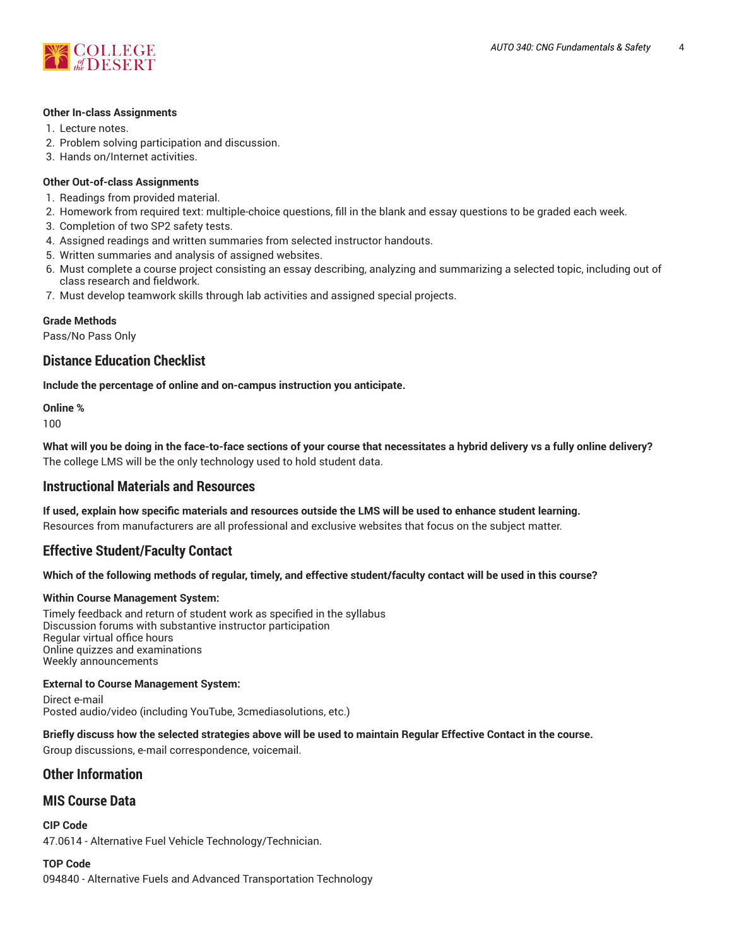

#### **Other In-class Assignments**

- 1. Lecture notes.
- 2. Problem solving participation and discussion.
- 3. Hands on/Internet activities.

#### **Other Out-of-class Assignments**

- 1. Readings from provided material.
- 2. Homework from required text: multiple-choice questions, fill in the blank and essay questions to be graded each week.
- 3. Completion of two SP2 safety tests.
- 4. Assigned readings and written summaries from selected instructor handouts.
- 5. Written summaries and analysis of assigned websites.
- 6. Must complete a course project consisting an essay describing, analyzing and summarizing a selected topic, including out of class research and fieldwork.
- 7. Must develop teamwork skills through lab activities and assigned special projects.

#### **Grade Methods**

Pass/No Pass Only

# **Distance Education Checklist**

**Include the percentage of online and on-campus instruction you anticipate.**

**Online %**

100

What will you be doing in the face-to-face sections of your course that necessitates a hybrid delivery vs a fully online delivery? The college LMS will be the only technology used to hold student data.

# **Instructional Materials and Resources**

**If used, explain how specific materials and resources outside the LMS will be used to enhance student learning.** Resources from manufacturers are all professional and exclusive websites that focus on the subject matter.

# **Effective Student/Faculty Contact**

#### Which of the following methods of regular, timely, and effective student/faculty contact will be used in this course?

#### **Within Course Management System:**

Timely feedback and return of student work as specified in the syllabus Discussion forums with substantive instructor participation Regular virtual office hours Online quizzes and examinations Weekly announcements

#### **External to Course Management System:**

Direct e-mail Posted audio/video (including YouTube, 3cmediasolutions, etc.)

#### Briefly discuss how the selected strategies above will be used to maintain Regular Effective Contact in the course.

Group discussions, e-mail correspondence, voicemail.

# **Other Information**

# **MIS Course Data**

**CIP Code** 47.0614 - Alternative Fuel Vehicle Technology/Technician.

#### **TOP Code**

094840 - Alternative Fuels and Advanced Transportation Technology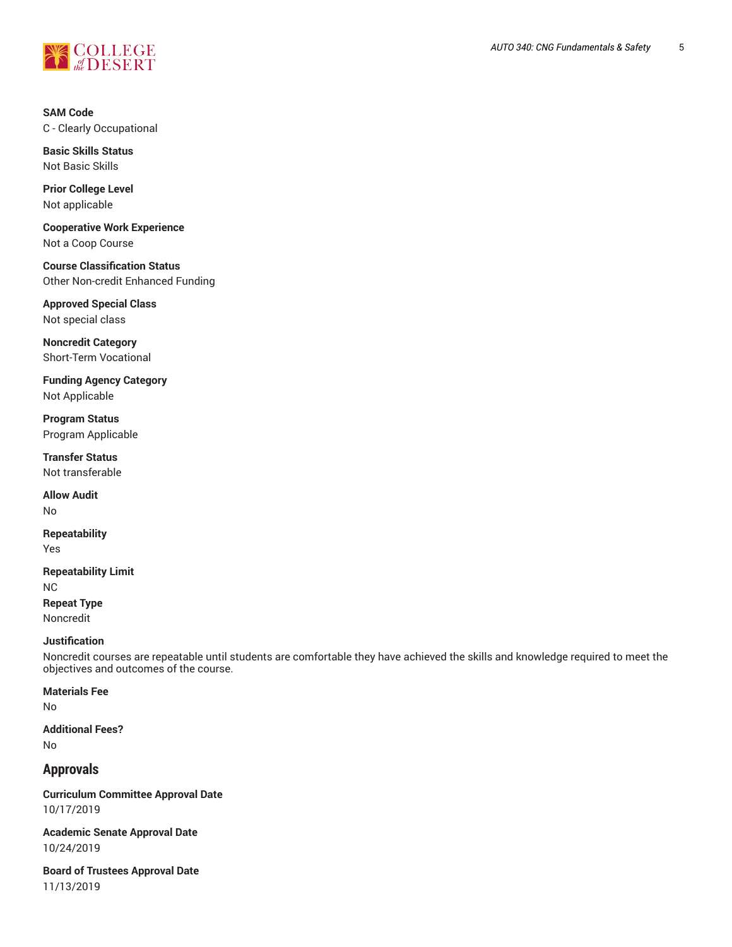

**SAM Code** C - Clearly Occupational

**Basic Skills Status** Not Basic Skills

**Prior College Level** Not applicable

**Cooperative Work Experience** Not a Coop Course

**Course Classification Status** Other Non-credit Enhanced Funding

**Approved Special Class** Not special class

**Noncredit Category** Short-Term Vocational

**Funding Agency Category** Not Applicable

**Program Status** Program Applicable

**Transfer Status** Not transferable

**Allow Audit** No

**Repeatability** Yes

**Repeatability Limit** NC **Repeat Type** Noncredit

#### **Justification**

Noncredit courses are repeatable until students are comfortable they have achieved the skills and knowledge required to meet the objectives and outcomes of the course.

**Materials Fee**

No

**Additional Fees?** No

# **Approvals**

**Curriculum Committee Approval Date** 10/17/2019

**Academic Senate Approval Date** 10/24/2019

**Board of Trustees Approval Date** 11/13/2019